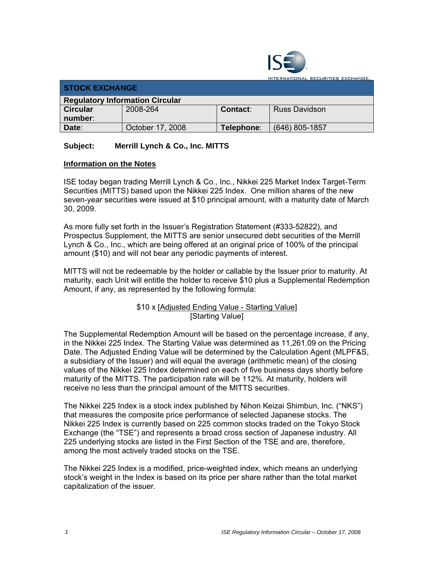

**TERNATIONAL SECURITIES EXCHANGE.** 

| <b>STOCK EXCHANGE</b>                  |                  |            |                      |  |  |
|----------------------------------------|------------------|------------|----------------------|--|--|
| <b>Regulatory Information Circular</b> |                  |            |                      |  |  |
| <b>Circular</b>                        | 2008-264         | Contact:   | <b>Russ Davidson</b> |  |  |
| number:                                |                  |            |                      |  |  |
| Date:                                  | October 17, 2008 | Telephone∶ | $(646)$ 805-1857     |  |  |

## **Subject: Merrill Lynch & Co., Inc. MITTS**

## **Information on the Notes**

ISE today began trading Merrill Lynch & Co., Inc., Nikkei 225 Market Index Target-Term Securities (MITTS) based upon the Nikkei 225 Index. One million shares of the new seven-year securities were issued at \$10 principal amount, with a maturity date of March 30, 2009.

As more fully set forth in the Issuer's Registration Statement (#333-52822), and Prospectus Supplement, the MITTS are senior unsecured debt securities of the Merrill Lynch & Co., Inc., which are being offered at an original price of 100% of the principal amount (\$10) and will not bear any periodic payments of interest.

MITTS will not be redeemable by the holder or callable by the Issuer prior to maturity. At maturity, each Unit will entitle the holder to receive \$10 plus a Supplemental Redemption Amount, if any, as represented by the following formula:

> \$10 x [Adjusted Ending Value - Starting Value] [Starting Value]

The Supplemental Redemption Amount will be based on the percentage increase, if any, in the Nikkei 225 Index. The Starting Value was determined as 11,261.09 on the Pricing Date. The Adjusted Ending Value will be determined by the Calculation Agent (MLPF&S, a subsidiary of the Issuer) and will equal the average (arithmetic mean) of the closing values of the Nikkei 225 Index determined on each of five business days shortly before maturity of the MITTS. The participation rate will be 112%. At maturity, holders will receive no less than the principal amount of the MITTS securities.

The Nikkei 225 Index is a stock index published by Nihon Keizai Shimbun, Inc. ("NKS") that measures the composite price performance of selected Japanese stocks. The Nikkei 225 Index is currently based on 225 common stocks traded on the Tokyo Stock Exchange (the "TSE") and represents a broad cross section of Japanese industry. All 225 underlying stocks are listed in the First Section of the TSE and are, therefore, among the most actively traded stocks on the TSE.

The Nikkei 225 Index is a modified, price-weighted index, which means an underlying stock's weight in the Index is based on its price per share rather than the total market capitalization of the issuer.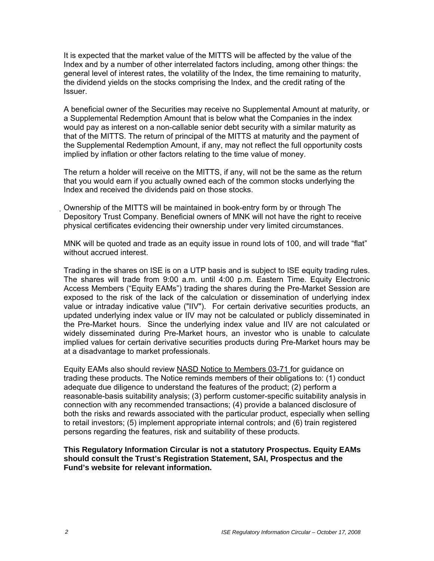It is expected that the market value of the MITTS will be affected by the value of the Index and by a number of other interrelated factors including, among other things: the general level of interest rates, the volatility of the Index, the time remaining to maturity, the dividend yields on the stocks comprising the Index, and the credit rating of the Issuer.

A beneficial owner of the Securities may receive no Supplemental Amount at maturity, or a Supplemental Redemption Amount that is below what the Companies in the index would pay as interest on a non-callable senior debt security with a similar maturity as that of the MITTS. The return of principal of the MITTS at maturity and the payment of the Supplemental Redemption Amount, if any, may not reflect the full opportunity costs implied by inflation or other factors relating to the time value of money.

The return a holder will receive on the MITTS, if any, will not be the same as the return that you would earn if you actually owned each of the common stocks underlying the Index and received the dividends paid on those stocks.

Ownership of the MITTS will be maintained in book-entry form by or through The Depository Trust Company. Beneficial owners of MNK will not have the right to receive physical certificates evidencing their ownership under very limited circumstances.

MNK will be quoted and trade as an equity issue in round lots of 100, and will trade "flat" without accrued interest.

Trading in the shares on ISE is on a UTP basis and is subject to ISE equity trading rules. The shares will trade from 9:00 a.m. until 4:00 p.m. Eastern Time. Equity Electronic Access Members ("Equity EAMs") trading the shares during the Pre-Market Session are exposed to the risk of the lack of the calculation or dissemination of underlying index value or intraday indicative value ("IIV"). For certain derivative securities products, an updated underlying index value or IIV may not be calculated or publicly disseminated in the Pre-Market hours. Since the underlying index value and IIV are not calculated or widely disseminated during Pre-Market hours, an investor who is unable to calculate implied values for certain derivative securities products during Pre-Market hours may be at a disadvantage to market professionals.

Equity EAMs also should review NASD Notice to Members 03-71 for guidance on trading these products. The Notice reminds members of their obligations to: (1) conduct adequate due diligence to understand the features of the product; (2) perform a reasonable-basis suitability analysis; (3) perform customer-specific suitability analysis in connection with any recommended transactions; (4) provide a balanced disclosure of both the risks and rewards associated with the particular product, especially when selling to retail investors; (5) implement appropriate internal controls; and (6) train registered persons regarding the features, risk and suitability of these products.

**This Regulatory Information Circular is not a statutory Prospectus. Equity EAMs should consult the Trust's Registration Statement, SAI, Prospectus and the Fund's website for relevant information.**